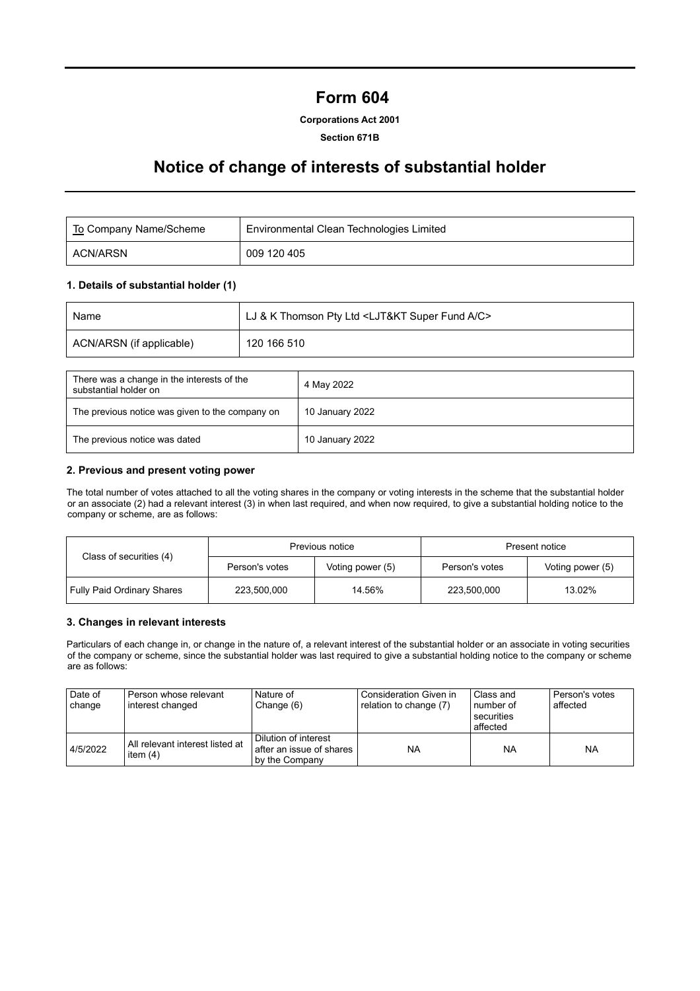# **Form 604**

## **Corporations Act 2001**

#### **Section 671B**

# **Notice of change of interests of substantial holder**

| To Company Name/Scheme | Environmental Clean Technologies Limited |
|------------------------|------------------------------------------|
| ACN/ARSN               | 009 120 405                              |

## **1. Details of substantial holder (1)**

| Name                     | LJ & K Thomson Pty Ltd <ljt&kt a="" c="" fund="" super=""></ljt&kt> |
|--------------------------|---------------------------------------------------------------------|
| ACN/ARSN (if applicable) | 120 166 510                                                         |

| There was a change in the interests of the<br>substantial holder on | 4 May 2022      |
|---------------------------------------------------------------------|-----------------|
| The previous notice was given to the company on                     | 10 January 2022 |
| The previous notice was dated                                       | 10 January 2022 |

### **2. Previous and present voting power**

The total number of votes attached to all the voting shares in the company or voting interests in the scheme that the substantial holder or an associate (2) had a relevant interest (3) in when last required, and when now required, to give a substantial holding notice to the company or scheme, are as follows:

|                                   |                | Previous notice  | Present notice |                  |  |
|-----------------------------------|----------------|------------------|----------------|------------------|--|
| Class of securities (4)           | Person's votes | Voting power (5) | Person's votes | Voting power (5) |  |
| <b>Fully Paid Ordinary Shares</b> | 223.500.000    | 14.56%           | 223,500,000    | 13.02%           |  |

#### **3. Changes in relevant interests**

Particulars of each change in, or change in the nature of, a relevant interest of the substantial holder or an associate in voting securities of the company or scheme, since the substantial holder was last required to give a substantial holding notice to the company or scheme are as follows:

| Date of<br>change | Person whose relevant<br>interest changed     | Nature of<br>Change (6)                                            | Consideration Given in<br>relation to change (7) | Class and<br>number of<br>securities<br>affected | Person's votes<br>affected |
|-------------------|-----------------------------------------------|--------------------------------------------------------------------|--------------------------------------------------|--------------------------------------------------|----------------------------|
| 4/5/2022          | All relevant interest listed at<br>item $(4)$ | Dilution of interest<br>after an issue of shares<br>by the Company | <b>NA</b>                                        | <b>NA</b>                                        | <b>NA</b>                  |